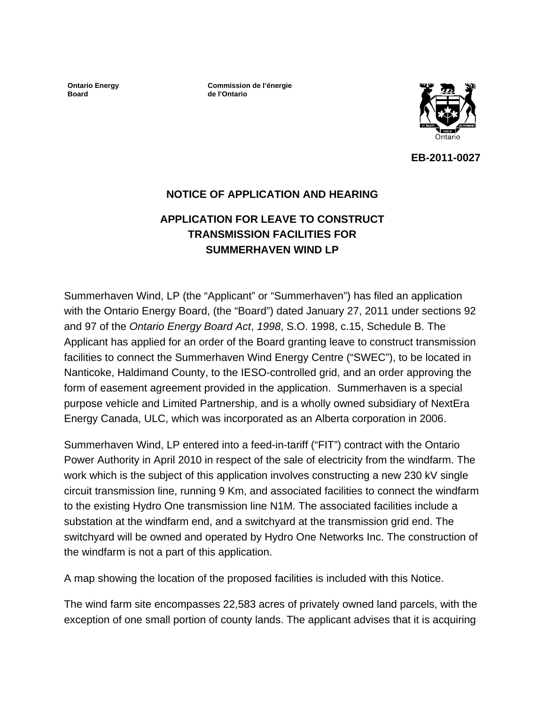**Ontario Energy Board** 

**Commission de l'énergie de l'Ontario**



**EB-2011-0027** 

### **NOTICE OF APPLICATION AND HEARING**

# **APPLICATION FOR LEAVE TO CONSTRUCT TRANSMISSION FACILITIES FOR SUMMERHAVEN WIND LP**

Summerhaven Wind, LP (the "Applicant" or "Summerhaven") has filed an application with the Ontario Energy Board, (the "Board") dated January 27, 2011 under sections 92 and 97 of the *Ontario Energy Board Act*, *1998*, S.O. 1998, c.15, Schedule B. The Applicant has applied for an order of the Board granting leave to construct transmission facilities to connect the Summerhaven Wind Energy Centre ("SWEC"), to be located in Nanticoke, Haldimand County, to the IESO-controlled grid, and an order approving the form of easement agreement provided in the application. Summerhaven is a special purpose vehicle and Limited Partnership, and is a wholly owned subsidiary of NextEra Energy Canada, ULC, which was incorporated as an Alberta corporation in 2006.

Summerhaven Wind, LP entered into a feed-in-tariff ("FIT") contract with the Ontario Power Authority in April 2010 in respect of the sale of electricity from the windfarm. The work which is the subject of this application involves constructing a new 230 kV single circuit transmission line, running 9 Km, and associated facilities to connect the windfarm to the existing Hydro One transmission line N1M. The associated facilities include a substation at the windfarm end, and a switchyard at the transmission grid end. The switchyard will be owned and operated by Hydro One Networks Inc. The construction of the windfarm is not a part of this application.

A map showing the location of the proposed facilities is included with this Notice.

The wind farm site encompasses 22,583 acres of privately owned land parcels, with the exception of one small portion of county lands. The applicant advises that it is acquiring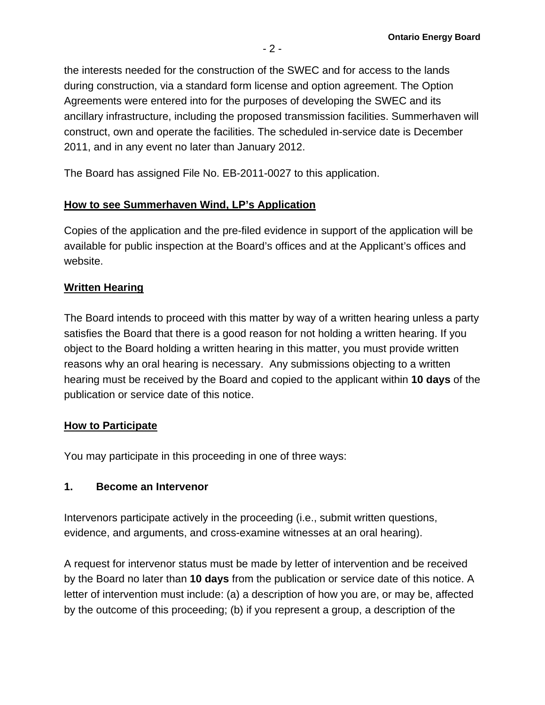the interests needed for the construction of the SWEC and for access to the lands during construction, via a standard form license and option agreement. The Option Agreements were entered into for the purposes of developing the SWEC and its ancillary infrastructure, including the proposed transmission facilities. Summerhaven will construct, own and operate the facilities. The scheduled in-service date is December 2011, and in any event no later than January 2012.

The Board has assigned File No. EB-2011-0027 to this application.

## **How to see Summerhaven Wind, LP's Application**

Copies of the application and the pre-filed evidence in support of the application will be available for public inspection at the Board's offices and at the Applicant's offices and website.

### **Written Hearing**

The Board intends to proceed with this matter by way of a written hearing unless a party satisfies the Board that there is a good reason for not holding a written hearing. If you object to the Board holding a written hearing in this matter, you must provide written reasons why an oral hearing is necessary. Any submissions objecting to a written hearing must be received by the Board and copied to the applicant within **10 days** of the publication or service date of this notice.

### **How to Participate**

You may participate in this proceeding in one of three ways:

## **1. Become an Intervenor**

Intervenors participate actively in the proceeding (i.e., submit written questions, evidence, and arguments, and cross-examine witnesses at an oral hearing).

A request for intervenor status must be made by letter of intervention and be received by the Board no later than **10 days** from the publication or service date of this notice. A letter of intervention must include: (a) a description of how you are, or may be, affected by the outcome of this proceeding; (b) if you represent a group, a description of the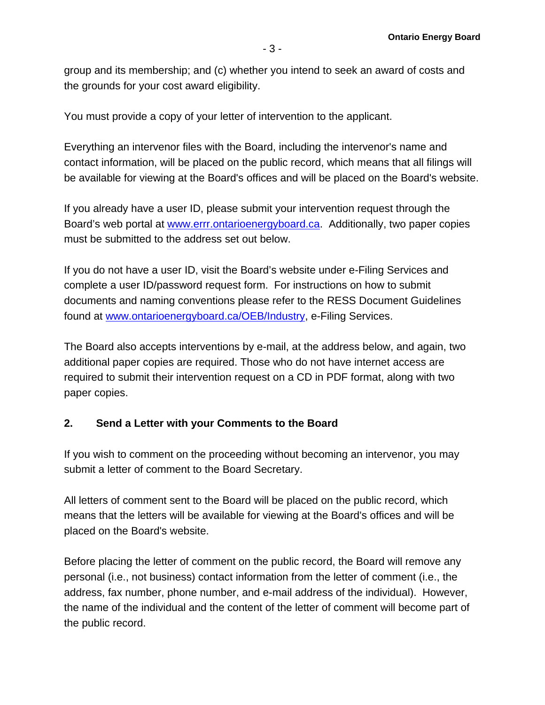group and its membership; and (c) whether you intend to seek an award of costs and the grounds for your cost award eligibility.

You must provide a copy of your letter of intervention to the applicant.

Everything an intervenor files with the Board, including the intervenor's name and contact information, will be placed on the public record, which means that all filings will be available for viewing at the Board's offices and will be placed on the Board's website.

If you already have a user ID, please submit your intervention request through the Board's web portal at [www.errr.ontarioenergyboard.ca](http://www.errr.ontarioenergyboard.ca/). Additionally, two paper copies must be submitted to the address set out below.

If you do not have a user ID, visit the Board's website under e-Filing Services and complete a user ID/password request form. For instructions on how to submit documents and naming conventions please refer to the RESS Document Guidelines found at [www.ontarioenergyboard.ca/OEB/Industry,](http://www.ontarioenergyboard.ca/OEB/Industry) e-Filing Services.

The Board also accepts interventions by e-mail, at the address below, and again, two additional paper copies are required. Those who do not have internet access are required to submit their intervention request on a CD in PDF format, along with two paper copies.

### **2. Send a Letter with your Comments to the Board**

If you wish to comment on the proceeding without becoming an intervenor, you may submit a letter of comment to the Board Secretary.

All letters of comment sent to the Board will be placed on the public record, which means that the letters will be available for viewing at the Board's offices and will be placed on the Board's website.

Before placing the letter of comment on the public record, the Board will remove any personal (i.e., not business) contact information from the letter of comment (i.e., the address, fax number, phone number, and e-mail address of the individual). However, the name of the individual and the content of the letter of comment will become part of the public record.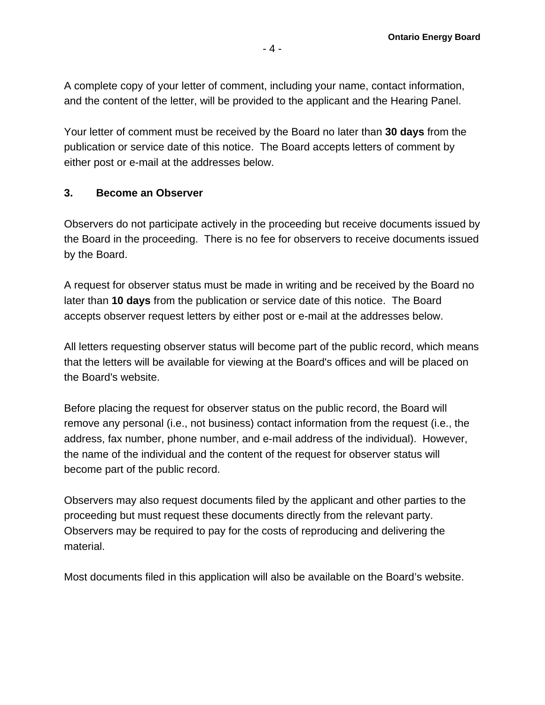A complete copy of your letter of comment, including your name, contact information, and the content of the letter, will be provided to the applicant and the Hearing Panel.

Your letter of comment must be received by the Board no later than **30 days** from the publication or service date of this notice. The Board accepts letters of comment by either post or e-mail at the addresses below.

#### **3. Become an Observer**

Observers do not participate actively in the proceeding but receive documents issued by the Board in the proceeding. There is no fee for observers to receive documents issued by the Board.

A request for observer status must be made in writing and be received by the Board no later than **10 days** from the publication or service date of this notice. The Board accepts observer request letters by either post or e-mail at the addresses below.

All letters requesting observer status will become part of the public record, which means that the letters will be available for viewing at the Board's offices and will be placed on the Board's website.

Before placing the request for observer status on the public record, the Board will remove any personal (i.e., not business) contact information from the request (i.e., the address, fax number, phone number, and e-mail address of the individual). However, the name of the individual and the content of the request for observer status will become part of the public record.

Observers may also request documents filed by the applicant and other parties to the proceeding but must request these documents directly from the relevant party. Observers may be required to pay for the costs of reproducing and delivering the material.

Most documents filed in this application will also be available on the Board's website.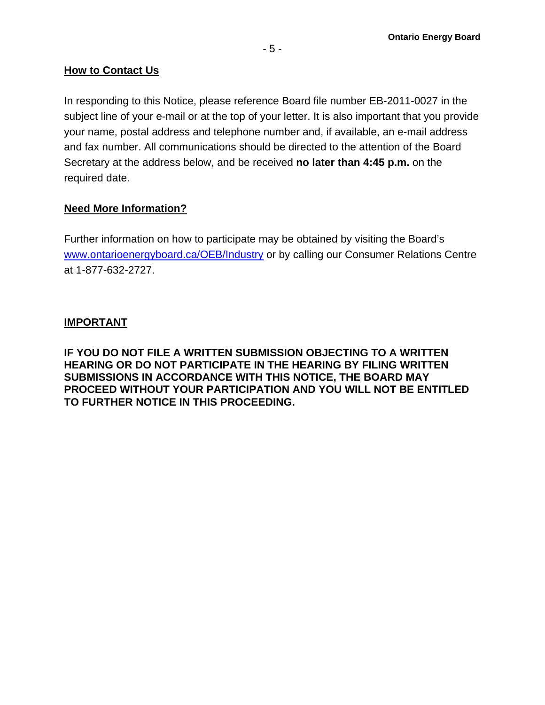#### **How to Contact Us**

In responding to this Notice, please reference Board file number EB-2011-0027 in the subject line of your e-mail or at the top of your letter. It is also important that you provide your name, postal address and telephone number and, if available, an e-mail address and fax number. All communications should be directed to the attention of the Board Secretary at the address below, and be received **no later than 4:45 p.m.** on the required date.

### **Need More Information?**

Further information on how to participate may be obtained by visiting the Board's [www.ontarioenergyboard.ca/OEB/Industry](http://www.ontarioenergyboard.ca/OEB/Industry) or by calling our Consumer Relations Centre at 1-877-632-2727.

### **IMPORTANT**

**IF YOU DO NOT FILE A WRITTEN SUBMISSION OBJECTING TO A WRITTEN HEARING OR DO NOT PARTICIPATE IN THE HEARING BY FILING WRITTEN SUBMISSIONS IN ACCORDANCE WITH THIS NOTICE, THE BOARD MAY PROCEED WITHOUT YOUR PARTICIPATION AND YOU WILL NOT BE ENTITLED TO FURTHER NOTICE IN THIS PROCEEDING.**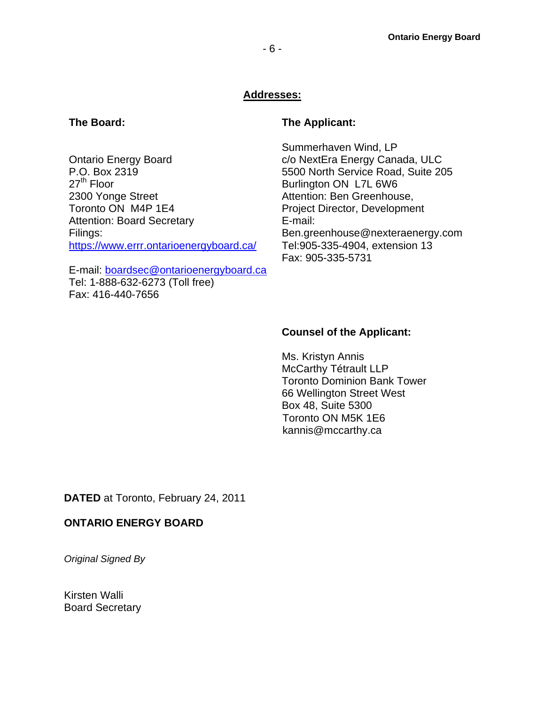#### **Addresses:**

#### **The Board:**

Ontario Energy Board P.O. Box 2319  $27<sup>th</sup>$  Floor 2300 Yonge Street Toronto ON M4P 1E4 Attention: Board Secretary Filings: <https://www.errr.ontarioenergyboard.ca/>

E-mail: [boardsec@ontarioenergyboard.ca](mailto:boardsec@ontarioenergyboard.ca) Tel: 1-888-632-6273 (Toll free) Fax: 416-440-7656

#### **The Applicant:**

Summerhaven Wind, LP c/o NextEra Energy Canada, ULC 5500 North Service Road, Suite 205 Burlington ON L7L 6W6 Attention: Ben Greenhouse, Project Director, Development E-mail: Ben.greenhouse@nexteraenergy.com Tel:905-335-4904, extension 13 Fax: 905-335-5731

#### **Counsel of the Applicant:**

 Toronto ON M5K 1E6 Ms. Kristyn Annis McCarthy Tétrault LLP Toronto Dominion Bank Tower 66 Wellington Street West Box 48, Suite 5300 kannis@mccarthy.ca

**DATED** at Toronto, February 24, 2011

#### **ONTARIO ENERGY BOARD**

*Original Signed By*

Kirsten Walli Board Secretary